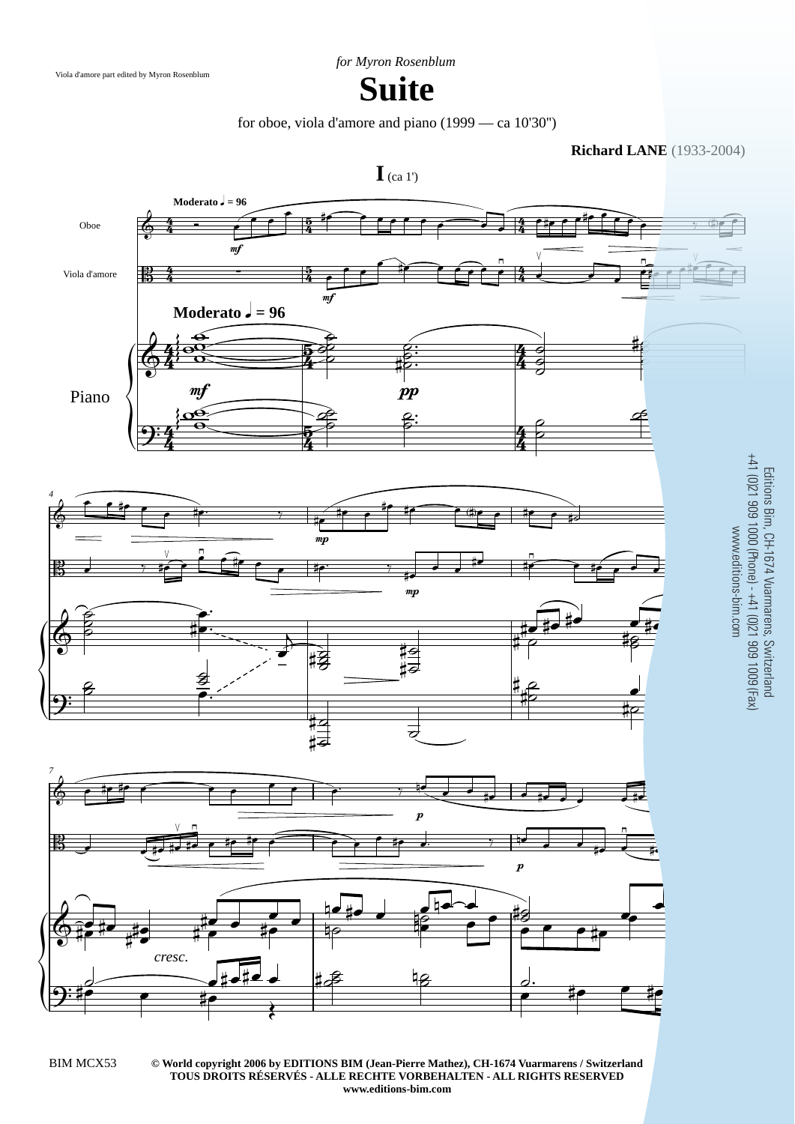

## **Suite**

for oboe, viola d'amore and piano (1999 — ca 10'30'')

**Richard LANE** (1933-2004)



**© World copyright 2006 by EDITIONS BIM (Jean-Pierre Mathez), CH-1674 Vuarmarens / Switzerland** BIM MCX53 3 **TOUS DROITS RÉSERVÉS - ALLE RECHTE VORBEHALTEN - ALL RIGHTS RESERVED www.editions-bim.com**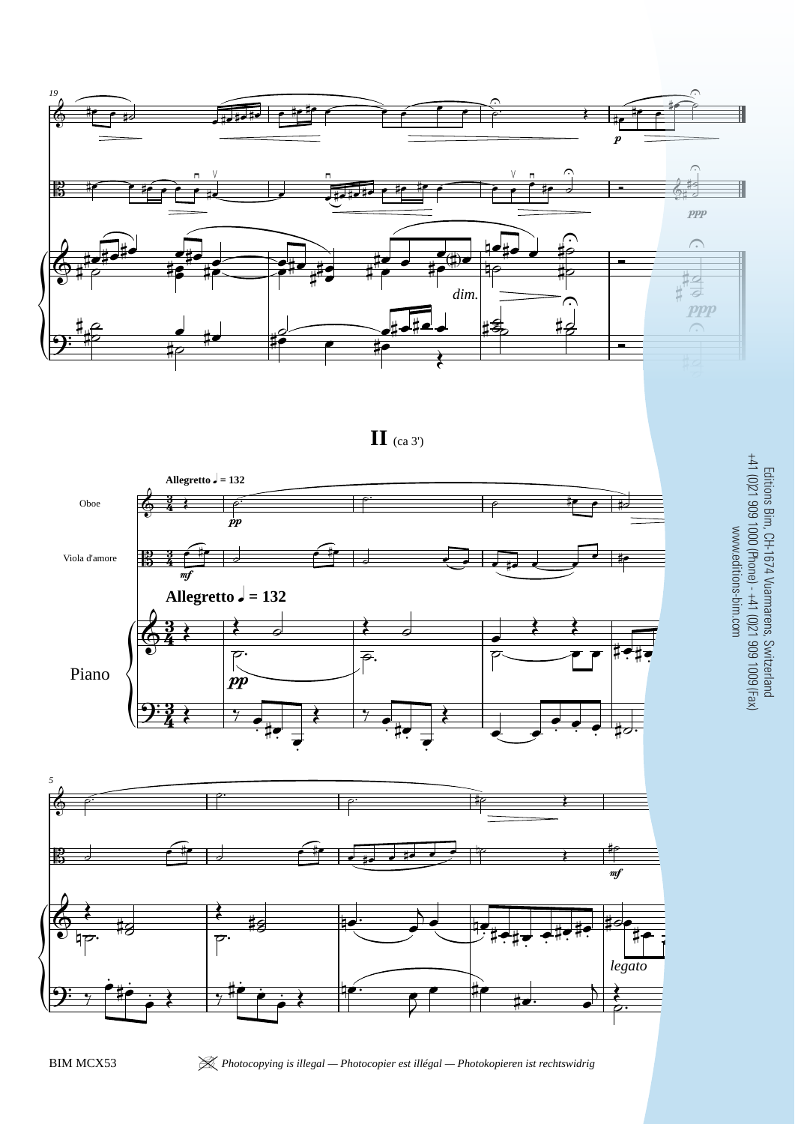

**II** (ca 3')



Editions Bim, CH-1674 Vuarmarens, Switzerland +41 (0)21 909 1000 (Phone) - +41 (0)21 909 1009 (Fax) www.editions-bim.com

*legato*

 $\begin{array}{|c|c|c|c|c|}\n\hline\n\text{#} & \text{#} & \text{#} \\
\hline\n\text{#} & \text{#} & \text{#} & \text{#} \\
\hline\n\end{array}$ 

 $\frac{1}{7}$ 

 $\dot{\varepsilon}$  to

 $9:$   $\frac{1}{7}$   $\frac{1}{7}$   $\frac{1}{7}$   $\frac{1}{7}$   $\frac{1}{7}$   $\frac{1}{7}$   $\frac{1}{7}$   $\frac{1}{7}$   $\frac{1}{7}$   $\frac{1}{7}$   $\frac{1}{7}$   $\frac{1}{7}$   $\frac{1}{7}$   $\frac{1}{7}$   $\frac{1}{7}$   $\frac{1}{7}$   $\frac{1}{7}$   $\frac{1}{7}$   $\frac{1}{7}$   $\frac{1}{7}$   $\frac{1}{7}$   $\frac{1}{$ 

 $\frac{1}{\bullet}$   $\leftarrow$   $\frac{1}{\bullet}$   $\frac{1}{\bullet}$ 

 $\overline{2}$ 

 $\frac{1}{2}$ 

BIM MCX53 <sup>|</sup> *Photocopying is illegal — Photocopier est illégal — Photokopieren ist rechtswidrig* 5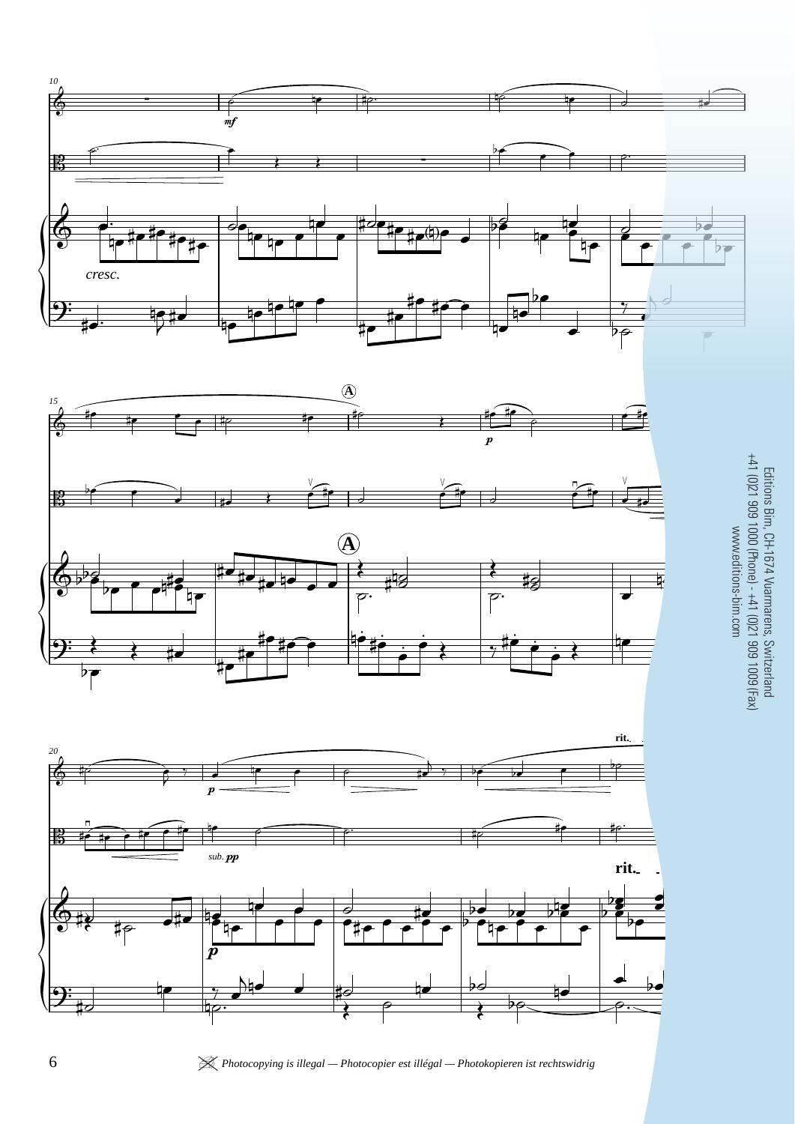





 $\equiv$ Editions Bim, CH-1674 Vuarmarens, Switzerland +41 (0)21 909 1000 (Phone) - +41 (0)21 909 1009 (Fax) www.editions-bim.com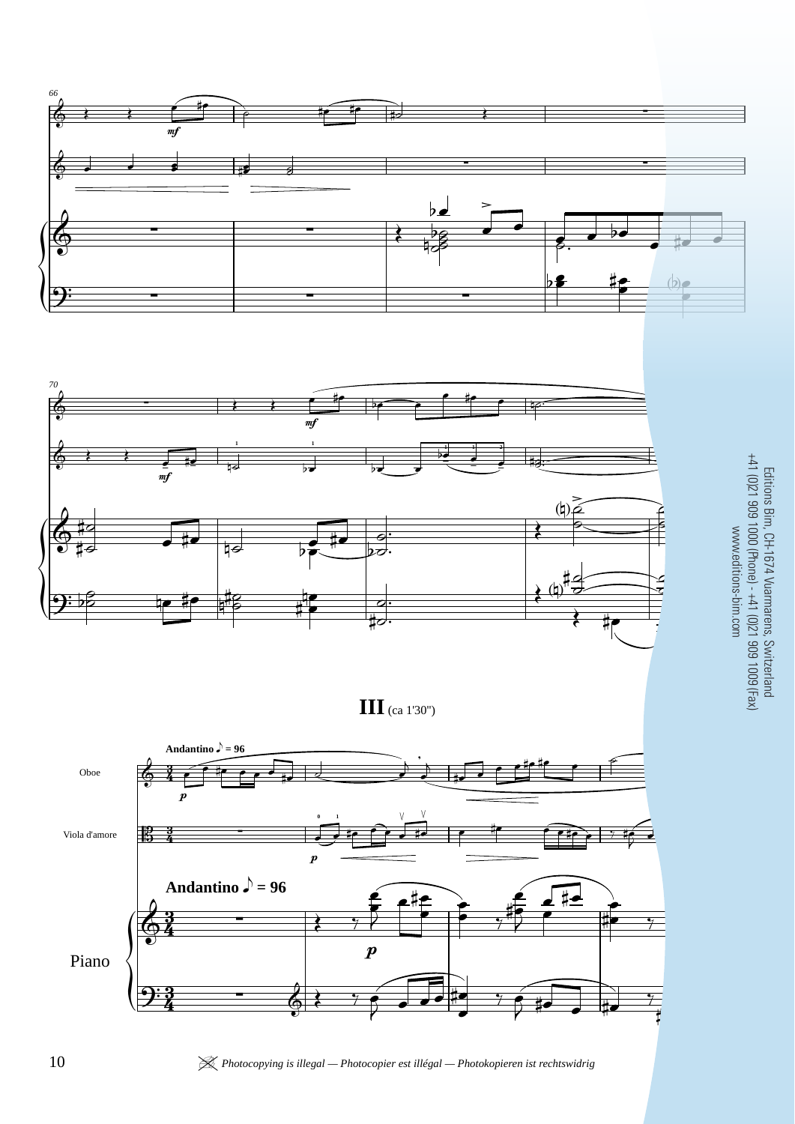

10 *K* Photocopying is illegal — Photocopier est illégal — Photokopieren ist rechtswidrig

Editions Bim, CH-1674 Vuarmarens, Switzerland<br>+41 (0)21 909 1000 (Phone) - +41 (0)21 909 1009 (Fax)<br>www.editions-bim.com +41 (0)21 909 1000 (Phone) - +41 (0)21 909 1009 (Fax) Editions Bim, CH-1674 Vuarmarens, Switzerland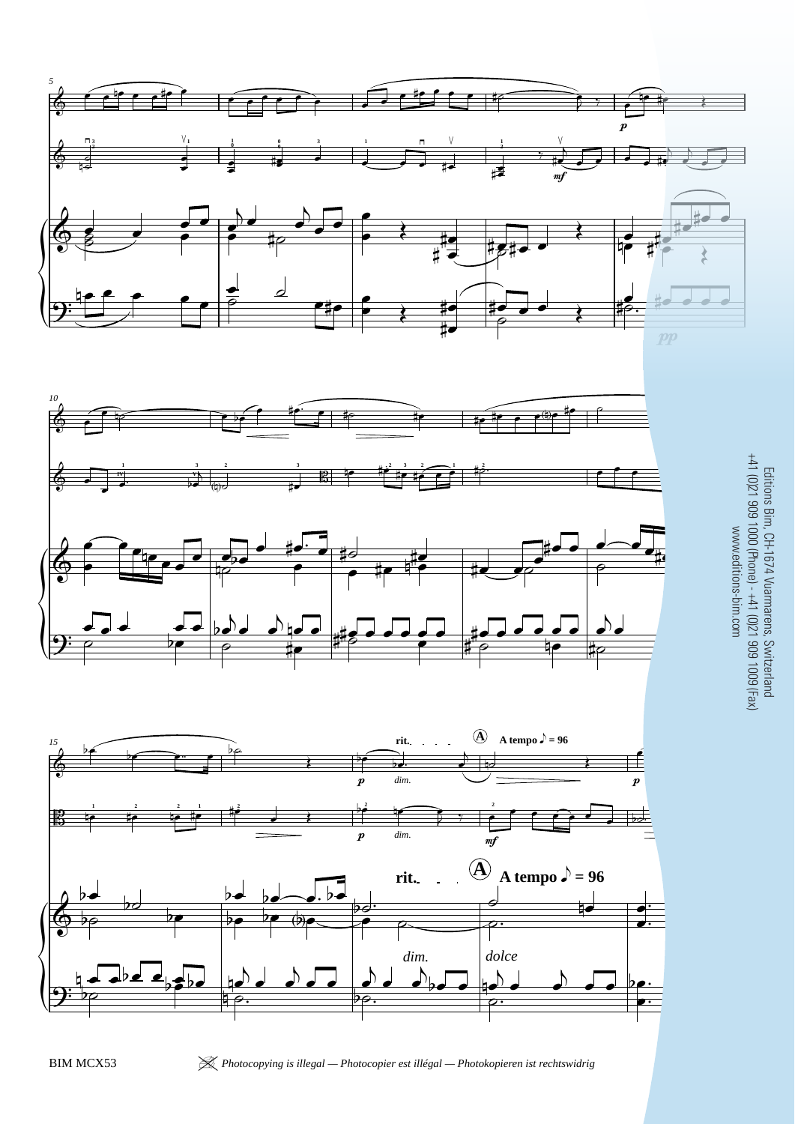







BIM MCX53 <sup>|</sup> *Photocopying is illegal — Photocopier est illégal — Photokopieren ist rechtswidrig* 11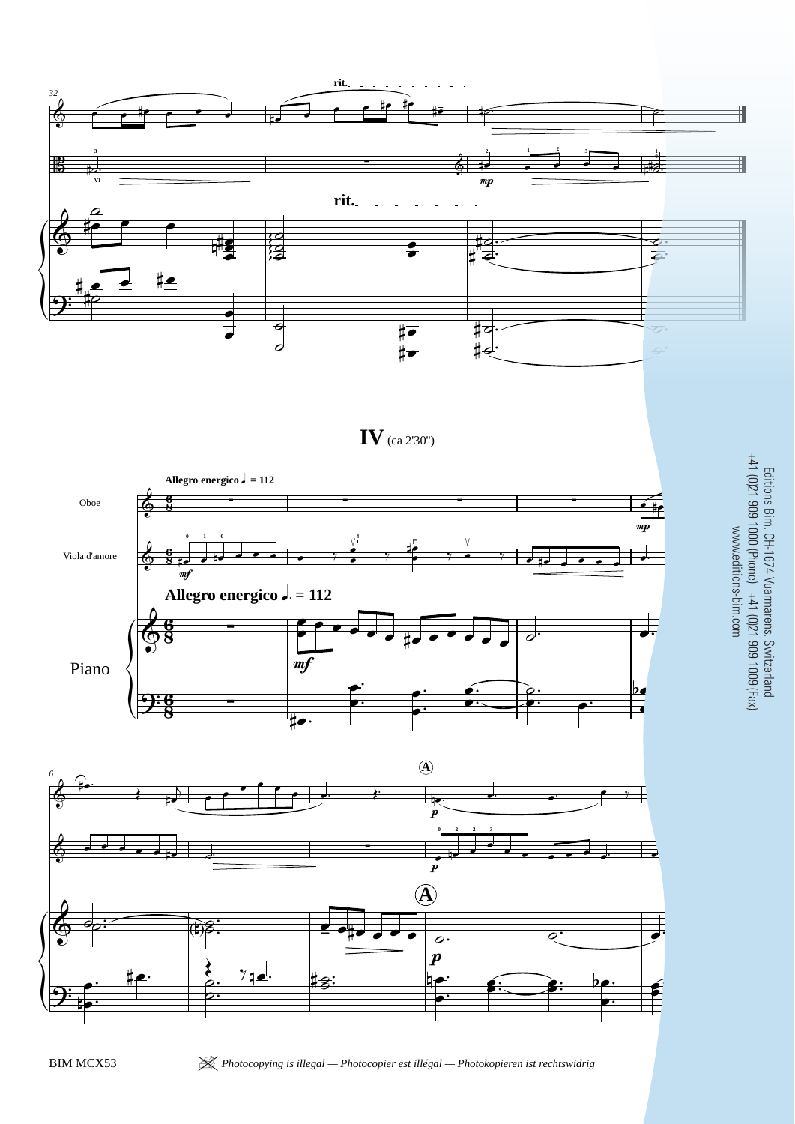

**IV** (ca 2'30'')





Editions Bim, CH-1674 Vuarmarens, Switzerland<br>+41 (0)21 909 1000 (Phone) - +41 (0)21 909 1009 (Fax)<br>www.editions-bim.com Editions Bim, CH-1674 Vuarmarens, Switzerland +41 (0)21 909 1000 (Phone) - +41 (0)21 909 1009 (Fax) www.editions-bim.com

BIM MCX53 <sup>|</sup> *Photocopying is illegal — Photocopier est illégal — Photokopieren ist rechtswidrig* 13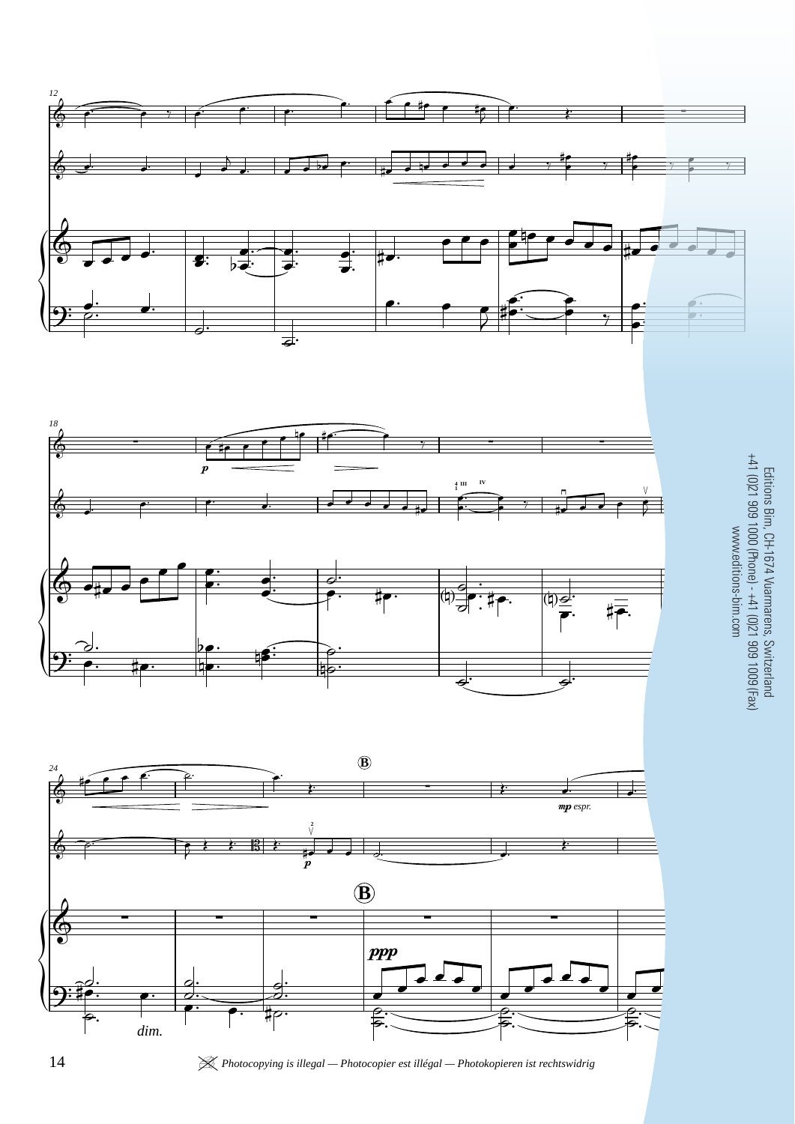





## Editions Bim, CH-1674 Vuarmarens, Switzerland<br>+41 (0)21 909 1000 (Phone) - +41 (0)21 909 1009 (Fax)<br>www.editions-bim.com +41 (0)21 909 1000 (Phone) - +41 (0)21 909 1009 (Fax) Editions Bim, CH-1674 Vuarmarens, Switzerland www.editions-bim.com

14 *K Photocopying is illegal — Photocopier est illégal — Photokopieren ist rechtswidrig*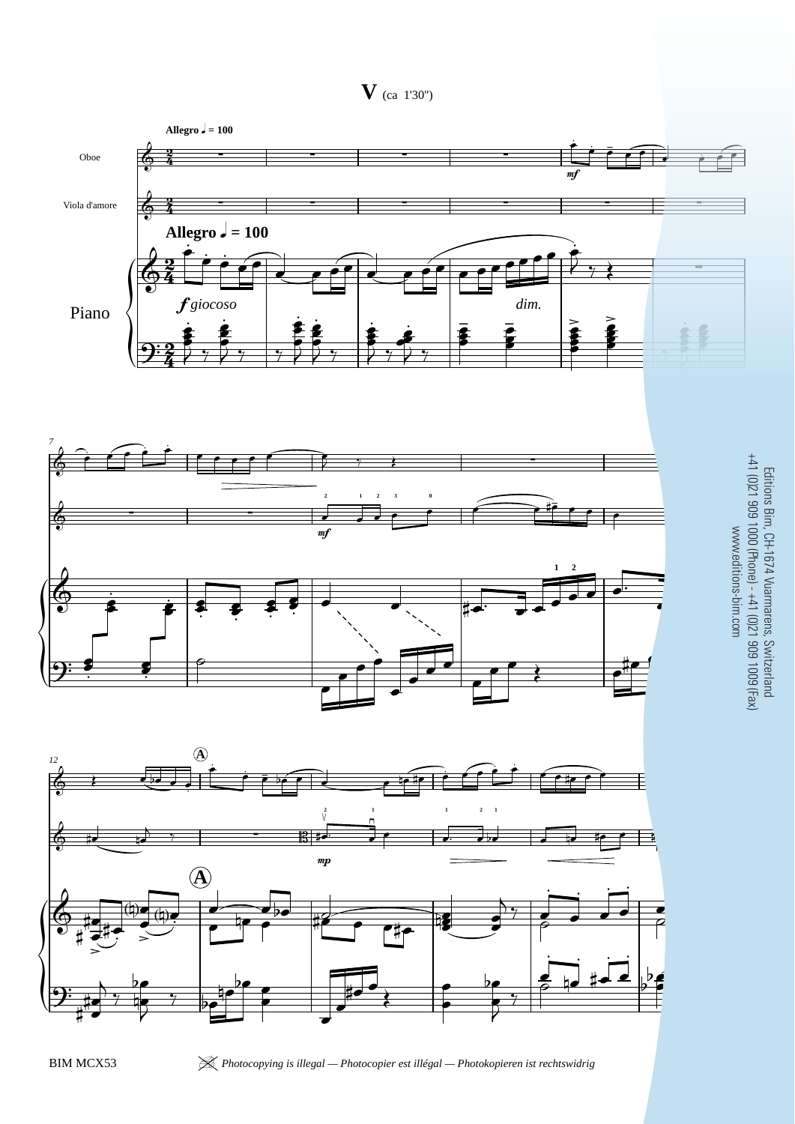**V** (ca 1'30'')







Editions Bim, CH-1674 Vuarmarens, Switzerland +41 (0)21 909 1000 (Phone) - +41 (0)21 909 1009 (Fax) www.editions-bim.com

BIM MCX53 <sup>|</sup> *Photocopying is illegal — Photocopier est illégal — Photokopieren ist rechtswidrig* 21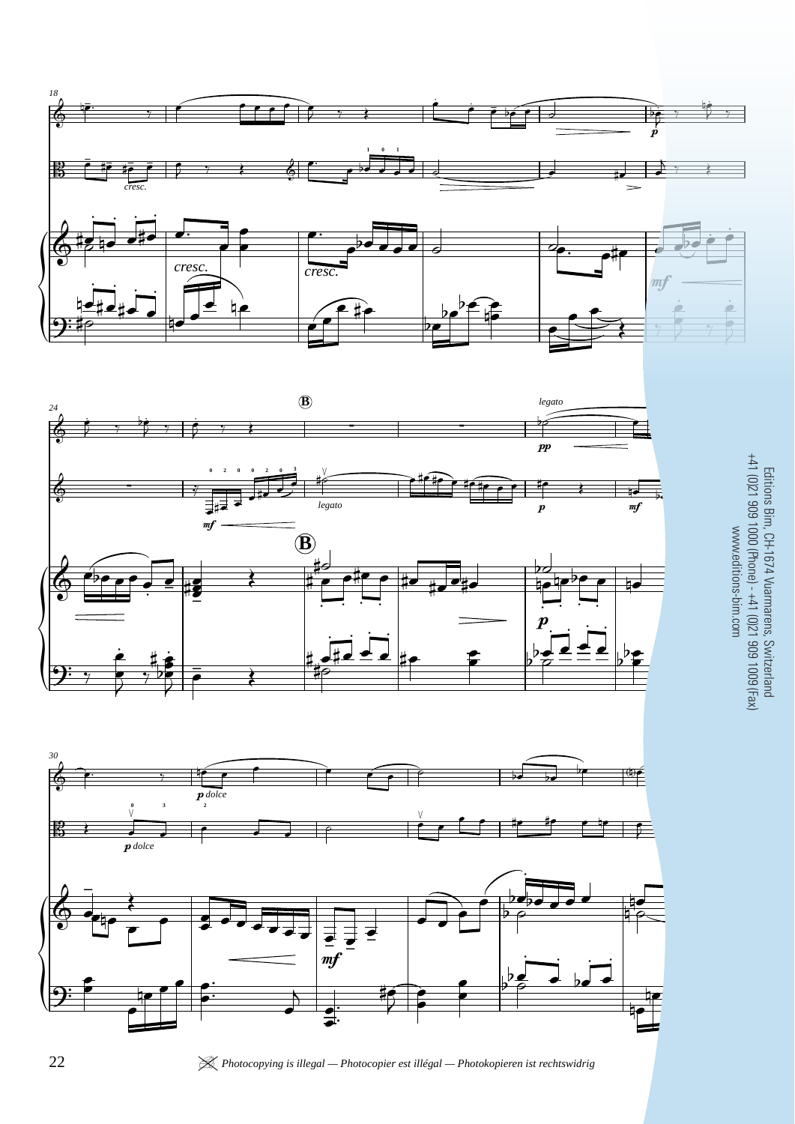





Editions Bim, CH-1674 Vuarmarens, Switzerland<br>+41 (0)21 909 1000 (Phone) - +41 (0)21 909 1009 (Fax)<br>www.editions-bim.com Editions Bim, CH-1674 Vuarmarens, Switzerland +41 (0)21 909 1000 (Phone) - +41 (0)21 909 1009 (Fax) www.editions-bim.com

22 *APhotocopying is illegal — Photocopier est illégal — Photokopieren ist rechtswidrig* **BIM MCSS**